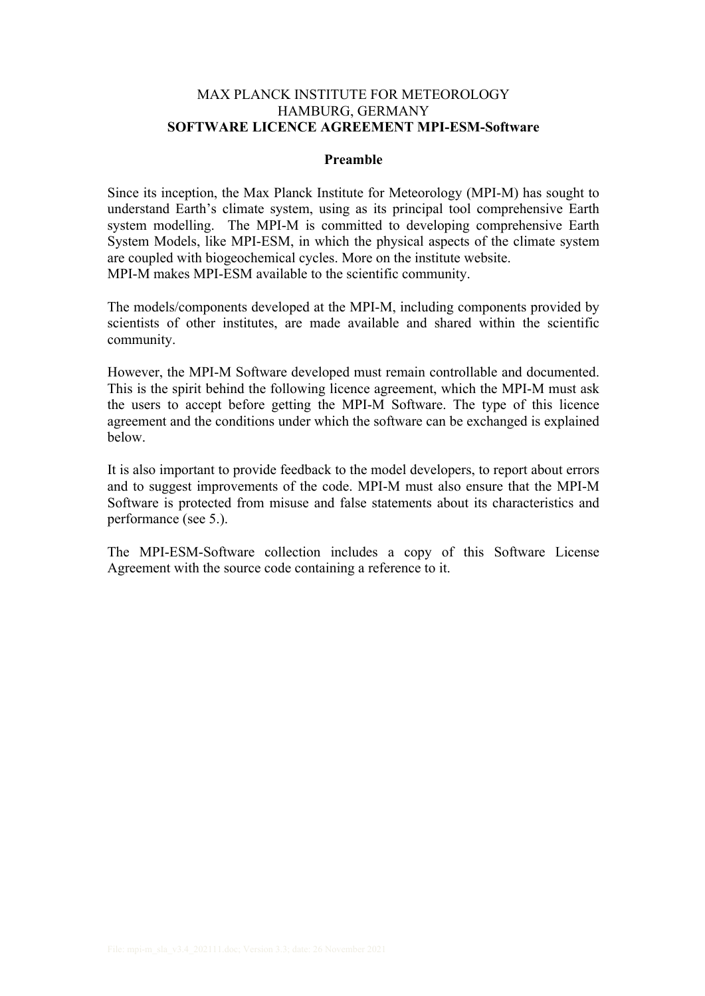#### MAX PLANCK INSTITUTE FOR METEOROLOGY HAMBURG, GERMANY **SOFTWARE LICENCE AGREEMENT MPI-ESM-Software**

#### **Preamble**

Since its inception, the Max Planck Institute for Meteorology (MPI-M) has sought to understand Earth's climate system, using as its principal tool comprehensive Earth system modelling. The MPI-M is committed to developing comprehensive Earth System Models, like MPI-ESM, in which the physical aspects of the climate system are coupled with biogeochemical cycles. More on the institute website. MPI-M makes MPI-ESM available to the scientific community.

The models/components developed at the MPI-M, including components provided by scientists of other institutes, are made available and shared within the scientific community.

However, the MPI-M Software developed must remain controllable and documented. This is the spirit behind the following licence agreement, which the MPI-M must ask the users to accept before getting the MPI-M Software. The type of this licence agreement and the conditions under which the software can be exchanged is explained below.

It is also important to provide feedback to the model developers, to report about errors and to suggest improvements of the code. MPI-M must also ensure that the MPI-M Software is protected from misuse and false statements about its characteristics and performance (see 5.).

The MPI-ESM-Software collection includes a copy of this Software License Agreement with the source code containing a reference to it.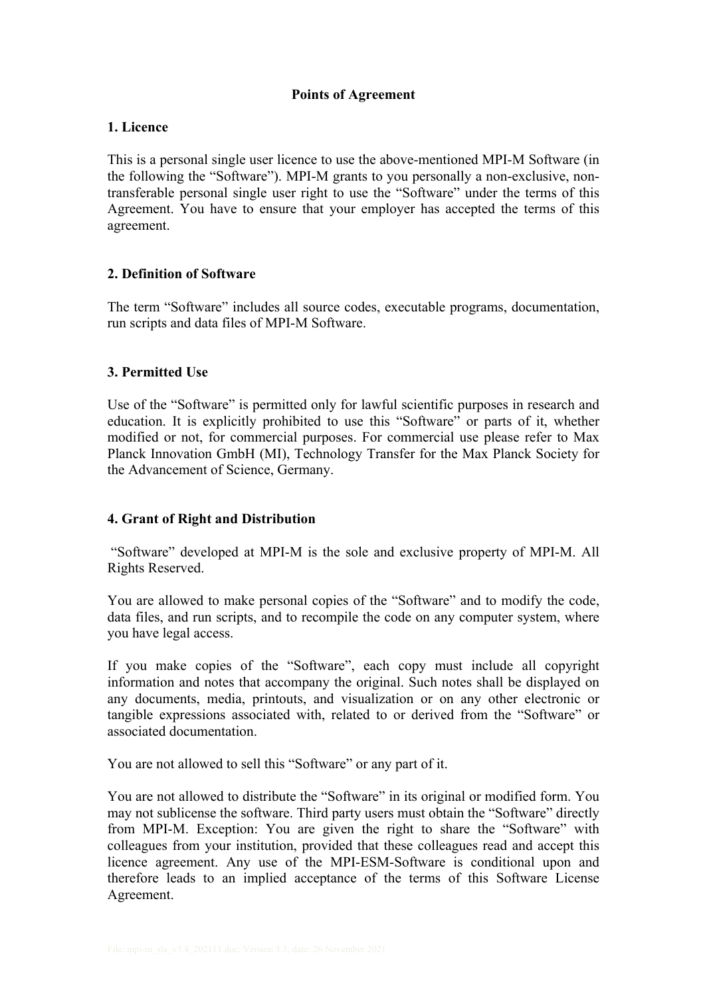# **Points of Agreement**

## **1. Licence**

This is a personal single user licence to use the above-mentioned MPI-M Software (in the following the "Software"). MPI-M grants to you personally a non-exclusive, nontransferable personal single user right to use the "Software" under the terms of this Agreement. You have to ensure that your employer has accepted the terms of this agreement.

## **2. Definition of Software**

The term "Software" includes all source codes, executable programs, documentation, run scripts and data files of MPI-M Software.

## **3. Permitted Use**

Use of the "Software" is permitted only for lawful scientific purposes in research and education. It is explicitly prohibited to use this "Software" or parts of it, whether modified or not, for commercial purposes. For commercial use please refer to Max Planck Innovation GmbH (MI), Technology Transfer for the Max Planck Society for the Advancement of Science, Germany.

### **4. Grant of Right and Distribution**

"Software" developed at MPI-M is the sole and exclusive property of MPI-M. All Rights Reserved.

You are allowed to make personal copies of the "Software" and to modify the code, data files, and run scripts, and to recompile the code on any computer system, where you have legal access.

If you make copies of the "Software", each copy must include all copyright information and notes that accompany the original. Such notes shall be displayed on any documents, media, printouts, and visualization or on any other electronic or tangible expressions associated with, related to or derived from the "Software" or associated documentation.

You are not allowed to sell this "Software" or any part of it.

You are not allowed to distribute the "Software" in its original or modified form. You may not sublicense the software. Third party users must obtain the "Software" directly from MPI-M. Exception: You are given the right to share the "Software" with colleagues from your institution, provided that these colleagues read and accept this licence agreement. Any use of the MPI-ESM-Software is conditional upon and therefore leads to an implied acceptance of the terms of this Software License Agreement.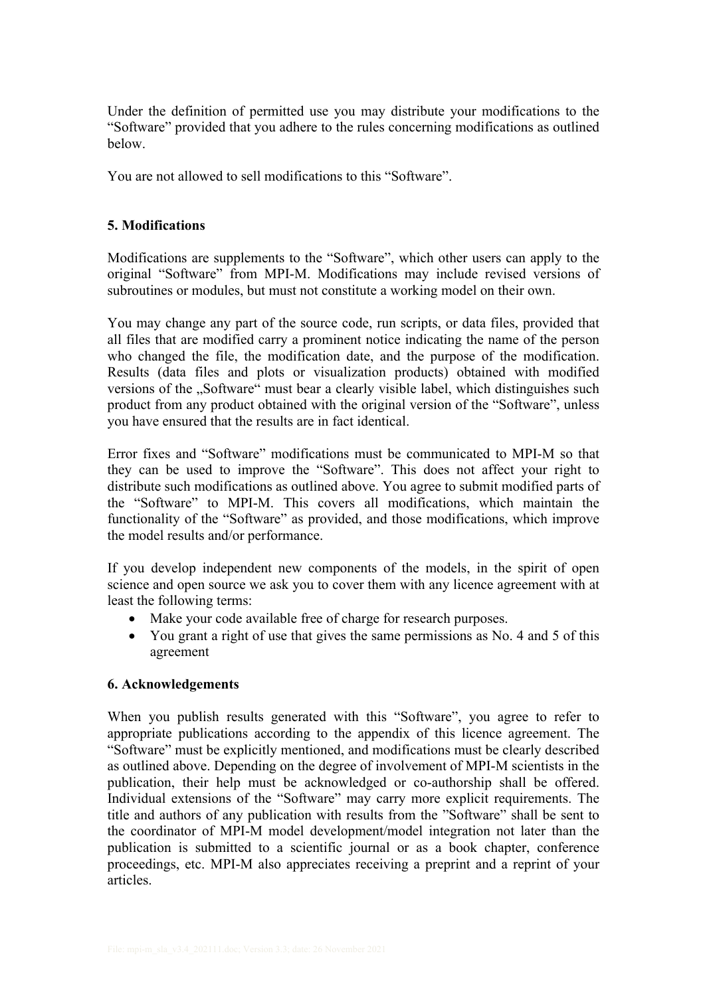Under the definition of permitted use you may distribute your modifications to the "Software" provided that you adhere to the rules concerning modifications as outlined below.

You are not allowed to sell modifications to this "Software".

# **5. Modifications**

Modifications are supplements to the "Software", which other users can apply to the original "Software" from MPI-M. Modifications may include revised versions of subroutines or modules, but must not constitute a working model on their own.

You may change any part of the source code, run scripts, or data files, provided that all files that are modified carry a prominent notice indicating the name of the person who changed the file, the modification date, and the purpose of the modification. Results (data files and plots or visualization products) obtained with modified versions of the "Software" must bear a clearly visible label, which distinguishes such product from any product obtained with the original version of the "Software", unless you have ensured that the results are in fact identical.

Error fixes and "Software" modifications must be communicated to MPI-M so that they can be used to improve the "Software". This does not affect your right to distribute such modifications as outlined above. You agree to submit modified parts of the "Software" to MPI-M. This covers all modifications, which maintain the functionality of the "Software" as provided, and those modifications, which improve the model results and/or performance.

If you develop independent new components of the models, in the spirit of open science and open source we ask you to cover them with any licence agreement with at least the following terms:

- Make your code available free of charge for research purposes.
- You grant a right of use that gives the same permissions as No. 4 and 5 of this agreement

### **6. Acknowledgements**

When you publish results generated with this "Software", you agree to refer to appropriate publications according to the appendix of this licence agreement. The "Software" must be explicitly mentioned, and modifications must be clearly described as outlined above. Depending on the degree of involvement of MPI-M scientists in the publication, their help must be acknowledged or co-authorship shall be offered. Individual extensions of the "Software" may carry more explicit requirements. The title and authors of any publication with results from the "Software" shall be sent to the coordinator of MPI-M model development/model integration not later than the publication is submitted to a scientific journal or as a book chapter, conference proceedings, etc. MPI-M also appreciates receiving a preprint and a reprint of your articles.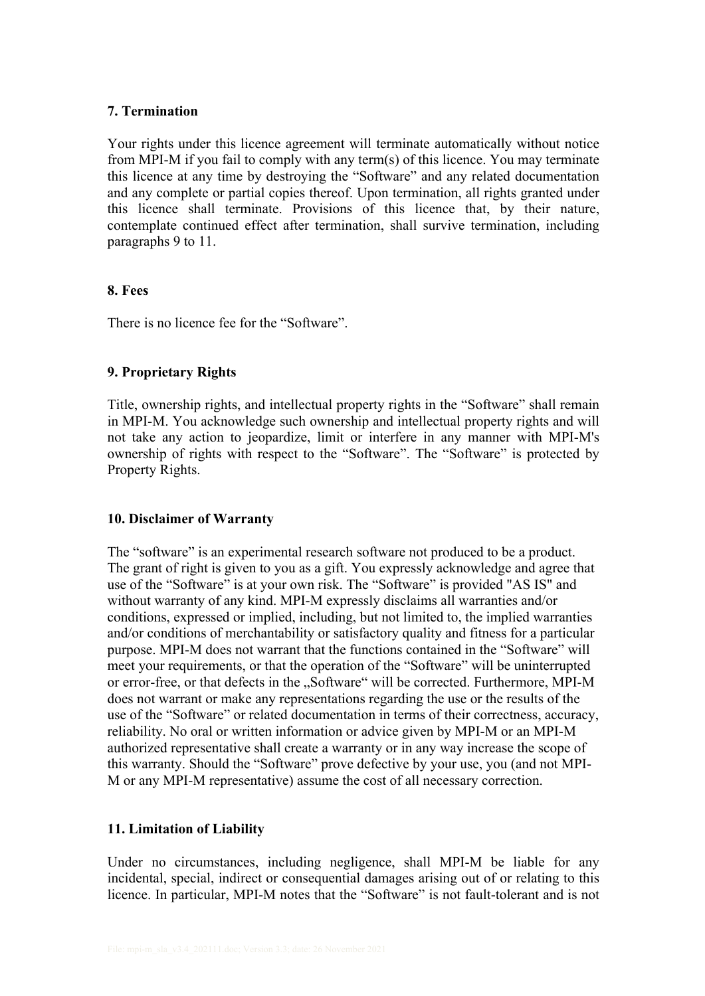### **7. Termination**

Your rights under this licence agreement will terminate automatically without notice from MPI-M if you fail to comply with any term(s) of this licence. You may terminate this licence at any time by destroying the "Software" and any related documentation and any complete or partial copies thereof. Upon termination, all rights granted under this licence shall terminate. Provisions of this licence that, by their nature, contemplate continued effect after termination, shall survive termination, including paragraphs 9 to 11.

## **8. Fees**

There is no licence fee for the "Software".

# **9. Proprietary Rights**

Title, ownership rights, and intellectual property rights in the "Software" shall remain in MPI-M. You acknowledge such ownership and intellectual property rights and will not take any action to jeopardize, limit or interfere in any manner with MPI-M's ownership of rights with respect to the "Software". The "Software" is protected by Property Rights.

# **10. Disclaimer of Warranty**

The "software" is an experimental research software not produced to be a product. The grant of right is given to you as a gift. You expressly acknowledge and agree that use of the "Software" is at your own risk. The "Software" is provided "AS IS" and without warranty of any kind. MPI-M expressly disclaims all warranties and/or conditions, expressed or implied, including, but not limited to, the implied warranties and/or conditions of merchantability or satisfactory quality and fitness for a particular purpose. MPI-M does not warrant that the functions contained in the "Software" will meet your requirements, or that the operation of the "Software" will be uninterrupted or error-free, or that defects in the "Software" will be corrected. Furthermore, MPI-M does not warrant or make any representations regarding the use or the results of the use of the "Software" or related documentation in terms of their correctness, accuracy, reliability. No oral or written information or advice given by MPI-M or an MPI-M authorized representative shall create a warranty or in any way increase the scope of this warranty. Should the "Software" prove defective by your use, you (and not MPI-M or any MPI-M representative) assume the cost of all necessary correction.

# **11. Limitation of Liability**

Under no circumstances, including negligence, shall MPI-M be liable for any incidental, special, indirect or consequential damages arising out of or relating to this licence. In particular, MPI-M notes that the "Software" is not fault-tolerant and is not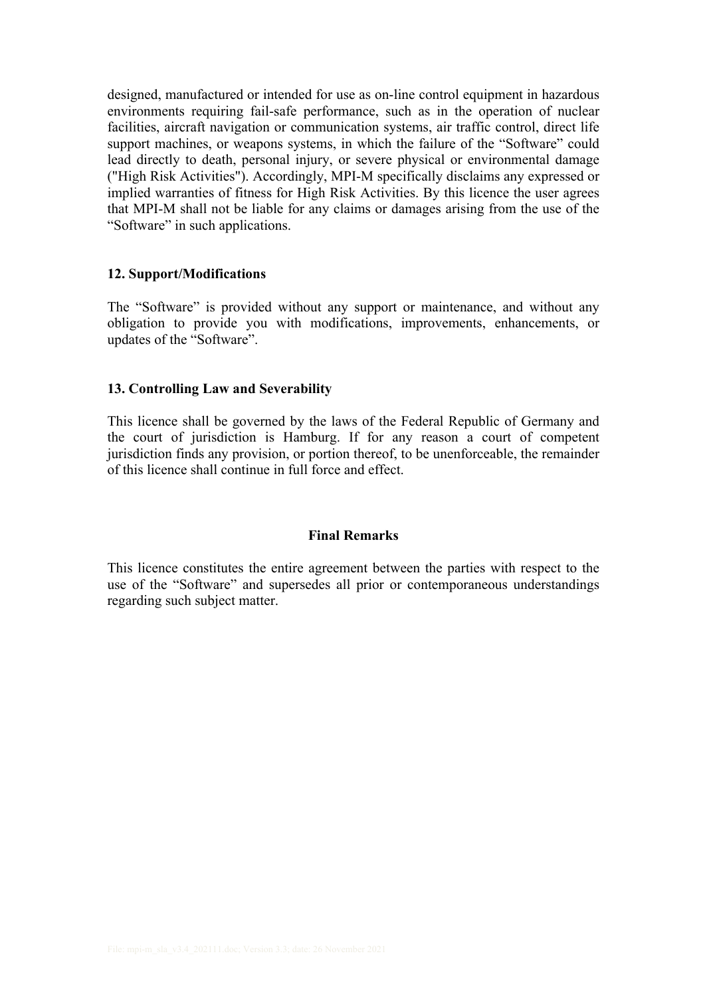designed, manufactured or intended for use as on-line control equipment in hazardous environments requiring fail-safe performance, such as in the operation of nuclear facilities, aircraft navigation or communication systems, air traffic control, direct life support machines, or weapons systems, in which the failure of the "Software" could lead directly to death, personal injury, or severe physical or environmental damage ("High Risk Activities"). Accordingly, MPI-M specifically disclaims any expressed or implied warranties of fitness for High Risk Activities. By this licence the user agrees that MPI-M shall not be liable for any claims or damages arising from the use of the "Software" in such applications.

### **12. Support/Modifications**

The "Software" is provided without any support or maintenance, and without any obligation to provide you with modifications, improvements, enhancements, or updates of the "Software".

### **13. Controlling Law and Severability**

This licence shall be governed by the laws of the Federal Republic of Germany and the court of jurisdiction is Hamburg. If for any reason a court of competent jurisdiction finds any provision, or portion thereof, to be unenforceable, the remainder of this licence shall continue in full force and effect.

#### **Final Remarks**

This licence constitutes the entire agreement between the parties with respect to the use of the "Software" and supersedes all prior or contemporaneous understandings regarding such subject matter.